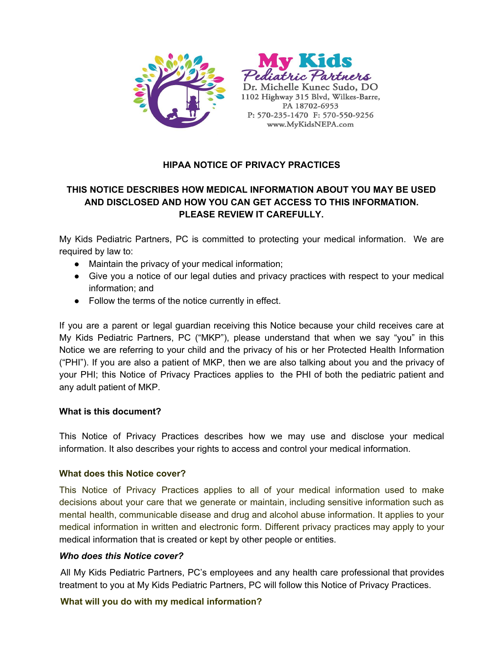



# **HIPAA NOTICE OF PRIVACY PRACTICES**

## **THIS NOTICE DESCRIBES HOW MEDICAL INFORMATION ABOUT YOU MAY BE USED AND DISCLOSED AND HOW YOU CAN GET ACCESS TO THIS INFORMATION. PLEASE REVIEW IT CAREFULLY.**

My Kids Pediatric Partners, PC is committed to protecting your medical information. We are required by law to:

- Maintain the privacy of your medical information;
- Give you a notice of our legal duties and privacy practices with respect to your medical information; and
- Follow the terms of the notice currently in effect.

If you are a parent or legal guardian receiving this Notice because your child receives care at My Kids Pediatric Partners, PC ("MKP"), please understand that when we say "you" in this Notice we are referring to your child and the privacy of his or her Protected Health Information ("PHI"). If you are also a patient of MKP, then we are also talking about you and the privacy of your PHI; this Notice of Privacy Practices applies to the PHI of both the pediatric patient and any adult patient of MKP.

#### **What is this document?**

This Notice of Privacy Practices describes how we may use and disclose your medical information. It also describes your rights to access and control your medical information.

#### **What does this Notice cover?**

This Notice of Privacy Practices applies to all of your medical information used to make decisions about your care that we generate or maintain, including sensitive information such as mental health, communicable disease and drug and alcohol abuse information. It applies to your medical information in written and electronic form. Different privacy practices may apply to your medical information that is created or kept by other people or entities.

#### *Who does this Notice cover?*

All My Kids Pediatric Partners, PC's employees and any health care professional that provides treatment to you at My Kids Pediatric Partners, PC will follow this Notice of Privacy Practices.

#### **What will you do with my medical information?**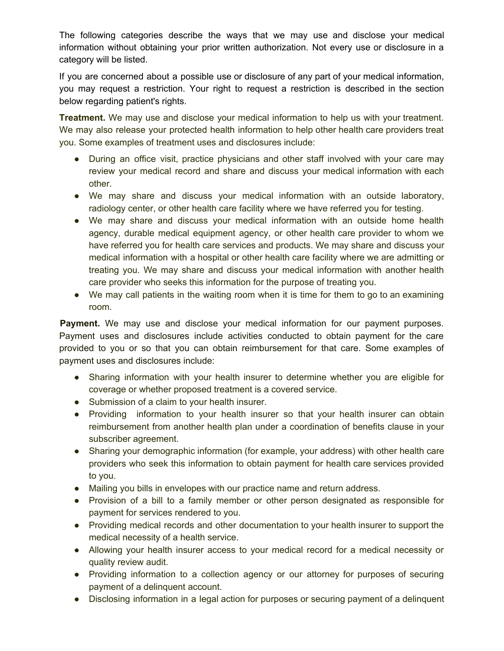The following categories describe the ways that we may use and disclose your medical information without obtaining your prior written authorization. Not every use or disclosure in a category will be listed.

If you are concerned about a possible use or disclosure of any part of your medical information, you may request a restriction. Your right to request a restriction is described in the section below regarding patient's rights.

**Treatment.** We may use and disclose your medical information to help us with your treatment. We may also release your protected health information to help other health care providers treat you. Some examples of treatment uses and disclosures include:

- During an office visit, practice physicians and other staff involved with your care may review your medical record and share and discuss your medical information with each other.
- We may share and discuss your medical information with an outside laboratory, radiology center, or other health care facility where we have referred you for testing.
- We may share and discuss your medical information with an outside home health agency, durable medical equipment agency, or other health care provider to whom we have referred you for health care services and products. We may share and discuss your medical information with a hospital or other health care facility where we are admitting or treating you. We may share and discuss your medical information with another health care provider who seeks this information for the purpose of treating you.
- We may call patients in the waiting room when it is time for them to go to an examining room.

**Payment.** We may use and disclose your medical information for our payment purposes. Payment uses and disclosures include activities conducted to obtain payment for the care provided to you or so that you can obtain reimbursement for that care. Some examples of payment uses and disclosures include:

- Sharing information with your health insurer to determine whether you are eligible for coverage or whether proposed treatment is a covered service.
- Submission of a claim to your health insurer.
- Providing information to your health insurer so that your health insurer can obtain reimbursement from another health plan under a coordination of benefits clause in your subscriber agreement.
- Sharing your demographic information (for example, your address) with other health care providers who seek this information to obtain payment for health care services provided to you.
- Mailing you bills in envelopes with our practice name and return address.
- Provision of a bill to a family member or other person designated as responsible for payment for services rendered to you.
- Providing medical records and other documentation to your health insurer to support the medical necessity of a health service.
- Allowing your health insurer access to your medical record for a medical necessity or quality review audit.
- Providing information to a collection agency or our attorney for purposes of securing payment of a delinquent account.
- Disclosing information in a legal action for purposes or securing payment of a delinquent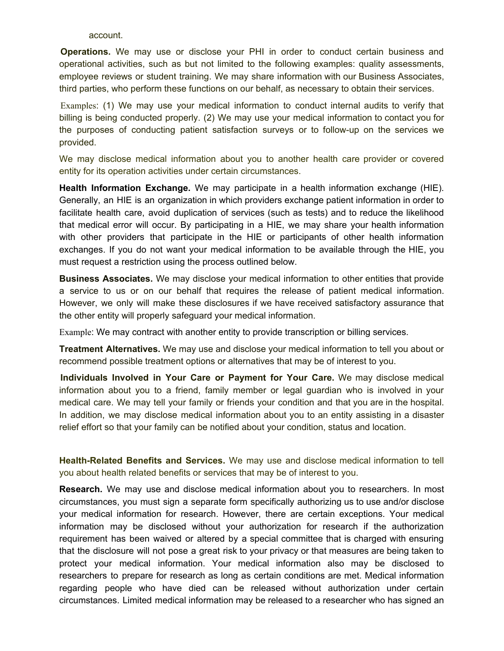account.

**Operations.** We may use or disclose your PHI in order to conduct certain business and operational activities, such as but not limited to the following examples: quality assessments, employee reviews or student training. We may share information with our Business Associates, third parties, who perform these functions on our behalf, as necessary to obtain their services.

Examples: (1) We may use your medical information to conduct internal audits to verify that billing is being conducted properly. (2) We may use your medical information to contact you for the purposes of conducting patient satisfaction surveys or to follow-up on the services we provided.

We may disclose medical information about you to another health care provider or covered entity for its operation activities under certain circumstances.

**Health Information Exchange.** We may participate in a health information exchange (HIE). Generally, an HIE is an organization in which providers exchange patient information in order to facilitate health care, avoid duplication of services (such as tests) and to reduce the likelihood that medical error will occur. By participating in a HIE, we may share your health information with other providers that participate in the HIE or participants of other health information exchanges. If you do not want your medical information to be available through the HIE, you must request a restriction using the process outlined below.

**Business Associates.** We may disclose your medical information to other entities that provide a service to us or on our behalf that requires the release of patient medical information. However, we only will make these disclosures if we have received satisfactory assurance that the other entity will properly safeguard your medical information.

Example: We may contract with another entity to provide transcription or billing services.

**Treatment Alternatives.** We may use and disclose your medical information to tell you about or recommend possible treatment options or alternatives that may be of interest to you.

**Individuals Involved in Your Care or Payment for Your Care.** We may disclose medical information about you to a friend, family member or legal guardian who is involved in your medical care. We may tell your family or friends your condition and that you are in the hospital. In addition, we may disclose medical information about you to an entity assisting in a disaster relief effort so that your family can be notified about your condition, status and location.

**Health-Related Benefits and Services.** We may use and disclose medical information to tell you about health related benefits or services that may be of interest to you.

**Research.** We may use and disclose medical information about you to researchers. In most circumstances, you must sign a separate form specifically authorizing us to use and/or disclose your medical information for research. However, there are certain exceptions. Your medical information may be disclosed without your authorization for research if the authorization requirement has been waived or altered by a special committee that is charged with ensuring that the disclosure will not pose a great risk to your privacy or that measures are being taken to protect your medical information. Your medical information also may be disclosed to researchers to prepare for research as long as certain conditions are met. Medical information regarding people who have died can be released without authorization under certain circumstances. Limited medical information may be released to a researcher who has signed an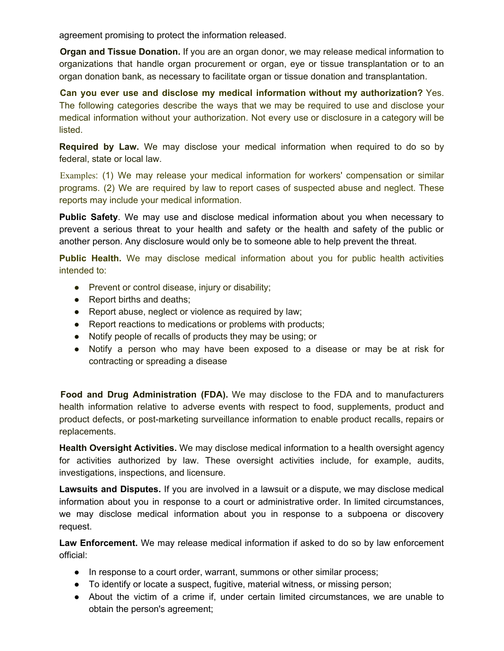agreement promising to protect the information released.

**Organ and Tissue Donation.** If you are an organ donor, we may release medical information to organizations that handle organ procurement or organ, eye or tissue transplantation or to an organ donation bank, as necessary to facilitate organ or tissue donation and transplantation.

**Can you ever use and disclose my medical information without my authorization?** Yes. The following categories describe the ways that we may be required to use and disclose your medical information without your authorization. Not every use or disclosure in a category will be listed.

**Required by Law.** We may disclose your medical information when required to do so by federal, state or local law.

Examples: (1) We may release your medical information for workers' compensation or similar programs. (2) We are required by law to report cases of suspected abuse and neglect. These reports may include your medical information.

**Public Safety**. We may use and disclose medical information about you when necessary to prevent a serious threat to your health and safety or the health and safety of the public or another person. Any disclosure would only be to someone able to help prevent the threat.

**Public Health.** We may disclose medical information about you for public health activities intended to:

- Prevent or control disease, injury or disability;
- Report births and deaths:
- Report abuse, neglect or violence as required by law;
- Report reactions to medications or problems with products;
- Notify people of recalls of products they may be using; or
- Notify a person who may have been exposed to a disease or may be at risk for contracting or spreading a disease

**Food and Drug Administration (FDA).** We may disclose to the FDA and to manufacturers health information relative to adverse events with respect to food, supplements, product and product defects, or post-marketing surveillance information to enable product recalls, repairs or replacements.

**Health Oversight Activities.** We may disclose medical information to a health oversight agency for activities authorized by law. These oversight activities include, for example, audits, investigations, inspections, and licensure.

**Lawsuits and Disputes.** If you are involved in a lawsuit or a dispute, we may disclose medical information about you in response to a court or administrative order. In limited circumstances, we may disclose medical information about you in response to a subpoena or discovery request.

**Law Enforcement.** We may release medical information if asked to do so by law enforcement official:

- In response to a court order, warrant, summons or other similar process;
- To identify or locate a suspect, fugitive, material witness, or missing person;
- About the victim of a crime if, under certain limited circumstances, we are unable to obtain the person's agreement;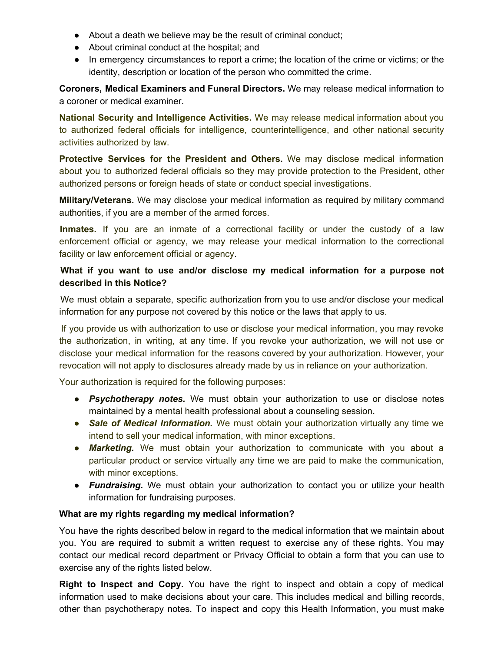- About a death we believe may be the result of criminal conduct;
- About criminal conduct at the hospital; and
- In emergency circumstances to report a crime; the location of the crime or victims; or the identity, description or location of the person who committed the crime.

**Coroners, Medical Examiners and Funeral Directors.** We may release medical information to a coroner or medical examiner.

**National Security and Intelligence Activities.** We may release medical information about you to authorized federal officials for intelligence, counterintelligence, and other national security activities authorized by law.

**Protective Services for the President and Others.** We may disclose medical information about you to authorized federal officials so they may provide protection to the President, other authorized persons or foreign heads of state or conduct special investigations.

**Military/Veterans.** We may disclose your medical information as required by military command authorities, if you are a member of the armed forces.

**Inmates.** If you are an inmate of a correctional facility or under the custody of a law enforcement official or agency, we may release your medical information to the correctional facility or law enforcement official or agency.

## **What if you want to use and/or disclose my medical information for a purpose not described in this Notice?**

We must obtain a separate, specific authorization from you to use and/or disclose your medical information for any purpose not covered by this notice or the laws that apply to us.

If you provide us with authorization to use or disclose your medical information, you may revoke the authorization, in writing, at any time. If you revoke your authorization, we will not use or disclose your medical information for the reasons covered by your authorization. However, your revocation will not apply to disclosures already made by us in reliance on your authorization.

Your authorization is required for the following purposes:

- *Psychotherapy notes.* We must obtain your authorization to use or disclose notes maintained by a mental health professional about a counseling session.
- *Sale of Medical Information.* We must obtain your authorization virtually any time we intend to sell your medical information, with minor exceptions.
- *Marketing.* We must obtain your authorization to communicate with you about a particular product or service virtually any time we are paid to make the communication, with minor exceptions.
- *Fundraising.* We must obtain your authorization to contact you or utilize your health information for fundraising purposes.

### **What are my rights regarding my medical information?**

You have the rights described below in regard to the medical information that we maintain about you. You are required to submit a written request to exercise any of these rights. You may contact our medical record department or Privacy Official to obtain a form that you can use to exercise any of the rights listed below.

**Right to Inspect and Copy.** You have the right to inspect and obtain a copy of medical information used to make decisions about your care. This includes medical and billing records, other than psychotherapy notes. To inspect and copy this Health Information, you must make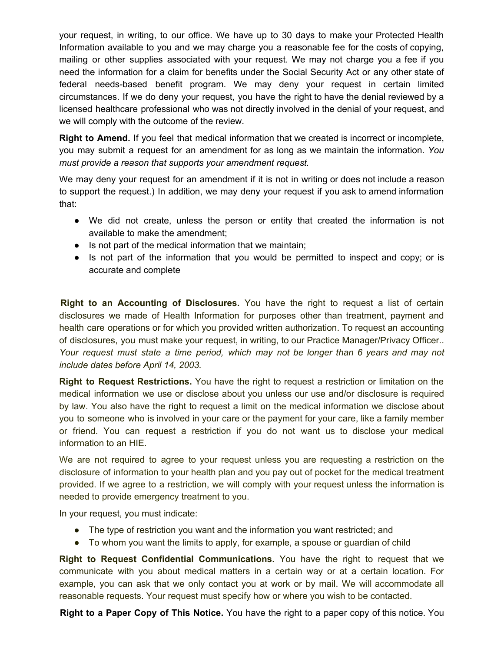your request, in writing, to our office. We have up to 30 days to make your Protected Health Information available to you and we may charge you a reasonable fee for the costs of copying, mailing or other supplies associated with your request. We may not charge you a fee if you need the information for a claim for benefits under the Social Security Act or any other state of federal needs-based benefit program. We may deny your request in certain limited circumstances. If we do deny your request, you have the right to have the denial reviewed by a licensed healthcare professional who was not directly involved in the denial of your request, and we will comply with the outcome of the review.

**Right to Amend.** If you feel that medical information that we created is incorrect or incomplete, you may submit a request for an amendment for as long as we maintain the information. *You must provide a reason that supports your amendment request.*

We may deny your request for an amendment if it is not in writing or does not include a reason to support the request.) In addition, we may deny your request if you ask to amend information that:

- We did not create, unless the person or entity that created the information is not available to make the amendment;
- Is not part of the medical information that we maintain;
- Is not part of the information that you would be permitted to inspect and copy; or is accurate and complete

**Right to an Accounting of Disclosures.** You have the right to request a list of certain disclosures we made of Health Information for purposes other than treatment, payment and health care operations or for which you provided written authorization. To request an accounting of disclosures, you must make your request, in writing, to our Practice Manager/Privacy Officer.. *Your request must state a time period, which may not be longer than 6 years and may not include dates before April 14, 2003.*

**Right to Request Restrictions.** You have the right to request a restriction or limitation on the medical information we use or disclose about you unless our use and/or disclosure is required by law. You also have the right to request a limit on the medical information we disclose about you to someone who is involved in your care or the payment for your care, like a family member or friend. You can request a restriction if you do not want us to disclose your medical information to an HIE.

We are not required to agree to your request unless you are requesting a restriction on the disclosure of information to your health plan and you pay out of pocket for the medical treatment provided. If we agree to a restriction, we will comply with your request unless the information is needed to provide emergency treatment to you.

In your request, you must indicate:

- The type of restriction you want and the information you want restricted; and
- To whom you want the limits to apply, for example, a spouse or guardian of child

**Right to Request Confidential Communications.** You have the right to request that we communicate with you about medical matters in a certain way or at a certain location. For example, you can ask that we only contact you at work or by mail. We will accommodate all reasonable requests. Your request must specify how or where you wish to be contacted.

**Right to a Paper Copy of This Notice.** You have the right to a paper copy of this notice. You